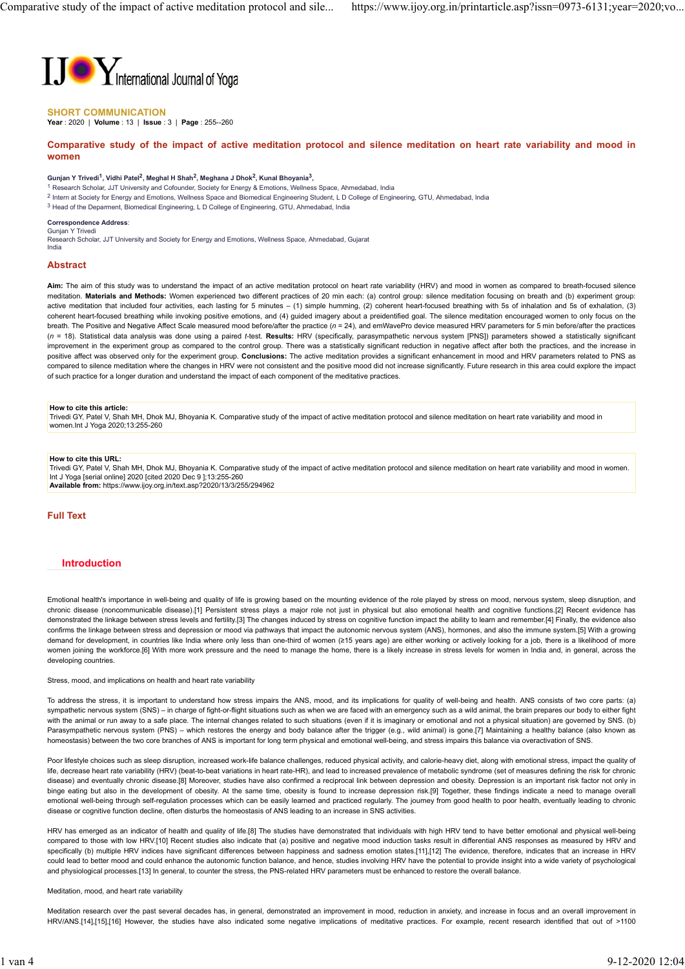

# SHORT COMMUNICATION

Year : 2020 | Volume : 13 | Issue : 3 | Page : 255--260

# Comparative study of the impact of active meditation protocol and silence meditation on heart rate variability and mood in women women women women women women women women women women women women women women women women women women wo

### Gunjan Y Trivedi<sup>1</sup>, Vidhi Patel<sup>2</sup>, Meghal H Shah<sup>2</sup>, Meghana J Dhok<sup>2</sup>, Kunal Bhoyania<sup>3</sup>,

- <sup>1</sup> Research Scholar, JJT University and Cofounder, Society for Energy & Emotions, Wellness Space, Ahmedabad, India
- <sup>2</sup> Intern at Society for Energy and Emotions, Wellness Space and Biomedical Engineering Student, L D College of Engineering, GTU, Ahmedabad, India
- <sup>3</sup> Head of the Deparment, Biomedical Engineering, L D College of Engineering, GTU, Ahmedabad, India

#### Correspondence Address: Gunjan Y Trivedi

Research Scholar, JJT University and Society for Energy and Emotions, Wellness Space, Ahmedabad, Gujarat India

# Abstract

Aim: The aim of this study was to understand the impact of an active meditation protocol on heart rate variability (HRV) and mood in women as compared to breath-focused silence meditation. Materials and Methods: Women experienced two different practices of 20 min each: (a) control group: silence meditation focusing on breath and (b) experiment group: active meditation that included four activities, each lasting for 5 minutes – (1) simple humming, (2) coherent heart-focused breathing with 5s of inhalation and 5s of exhalation, (3) coherent heart-focused breathing while invoking positive emotions, and (4) guided imagery about a preidentified goal. The silence meditation encouraged women to only focus on the breath. The Positive and Negative Affect Scale measured mood before/after the practice  $(n = 24)$ , and emWavePro device measured HRV parameters for 5 min before/after the practices (n = 18). Statistical data analysis was done using a paired t-test. Results: HRV (specifically, parasympathetic nervous system [PNS]) parameters showed a statistically significant improvement in the experiment group as compared to the control group. There was a statistically significant reduction in negative affect after both the practices, and the increase in positive affect was observed only for the experiment group. Conclusions: The active meditation provides a significant enhancement in mood and HRV parameters related to PNS as compared to silence meditation where the changes in HRV were not consistent and the positive mood did not increase significantly. Future research in this area could explore the impact of such practice for a longer duration and understand the impact of each component of the meditative practices.

#### How to cite this article:

Trivedi GY, Patel V, Shah MH, Dhok MJ, Bhoyania K. Comparative study of the impact of active meditation protocol and silence meditation on heart rate variability and mood in women.Int J Yoga 2020;13:255-260

# How to cite this URL:

Trivedi GY, Patel V, Shah MH, Dhok MJ, Bhoyania K. Comparative study of the impact of active meditation protocol and silence meditation on heart rate variability and mood in women. Int J Yoga [serial online] 2020 [cited 2020 Dec 9 ];13:255-260 Available from: https://www.ijoy.org.in/text.asp?2020/13/3/255/294962

## Full Text

## Introduction

Emotional health's importance in well-being and quality of life is growing based on the mounting evidence of the role played by stress on mood, nervous system, sleep disruption, and chronic disease (noncommunicable disease).[1] Persistent stress plays a major role not just in physical but also emotional health and cognitive functions.[2] Recent evidence has demonstrated the linkage between stress levels and fertility.[3] The changes induced by stress on cognitive function impact the ability to learn and remember.[4] Finally, the evidence also confirms the linkage between stress and depression or mood via pathways that impact the autonomic nervous system (ANS), hormones, and also the immune system.[5] With a growing demand for development, in countries like India where only less than one-third of women (≥15 years age) are either working or actively looking for a job, there is a likelihood of more women joining the workforce.[6] With more work pressure and the need to manage the home, there is a likely increase in stress levels for women in India and, in general, across the developing countries.

#### Stress, mood, and implications on health and heart rate variability

To address the stress, it is important to understand how stress impairs the ANS, mood, and its implications for quality of well-being and health. ANS consists of two core parts: (a) sympathetic nervous system (SNS) – in charge of fight-or-flight situations such as when we are faced with an emergency such as a wild animal, the brain prepares our body to either fight with the animal or run away to a safe place. The internal changes related to such situations (even if it is imaginary or emotional and not a physical situation) are governed by SNS. (b) Parasympathetic nervous system (PNS) – which restores the energy and body balance after the trigger (e.g., wild animal) is gone.[7] Maintaining a healthy balance (also known as homeostasis) between the two core branches of ANS is important for long term physical and emotional well-being, and stress impairs this balance via overactivation of SNS.

Poor lifestyle choices such as sleep disruption, increased work-life balance challenges, reduced physical activity, and calorie-heavy diet, along with emotional stress, impact the quality of life, decrease heart rate variability (HRV) (beat-to-beat variations in heart rate-HR), and lead to increased prevalence of metabolic syndrome (set of measures defining the risk for chronic disease) and eventually chronic disease.[8] Moreover, studies have also confirmed a reciprocal link between depression and obesity. Depression is an important risk factor not only in binge eating but also in the development of obesity. At the same time, obesity is found to increase depression risk.[9] Together, these findings indicate a need to manage overall emotional well-being through self-regulation processes which can be easily learned and practiced regularly. The journey from good health to poor health, eventually leading to chronic disease or cognitive function decline, often disturbs the homeostasis of ANS leading to an increase in SNS activities.

HRV has emerged as an indicator of health and quality of life.[8] The studies have demonstrated that individuals with high HRV tend to have better emotional and physical well-being compared to those with low HRV.[10] Recent studies also indicate that (a) positive and negative mood induction tasks result in differential ANS responses as measured by HRV and specifically (b) multiple HRV indices have significant differences between happiness and sadness emotion states.[11],[12] The evidence, therefore, indicates that an increase in HRV could lead to better mood and could enhance the autonomic function balance, and hence, studies involving HRV have the potential to provide insight into a wide variety of psychological and physiological processes.[13] In general, to counter the stress, the PNS-related HRV parameters must be enhanced to restore the overall balance

## Meditation, mood, and heart rate variability

Meditation research over the past several decades has, in general, demonstrated an improvement in mood, reduction in anxiety, and increase in focus and an overall improvement in HRV/ANS.[14],[15],[16] However, the studies have also indicated some negative implications of meditative practices. For example, recent research identified that out of >1100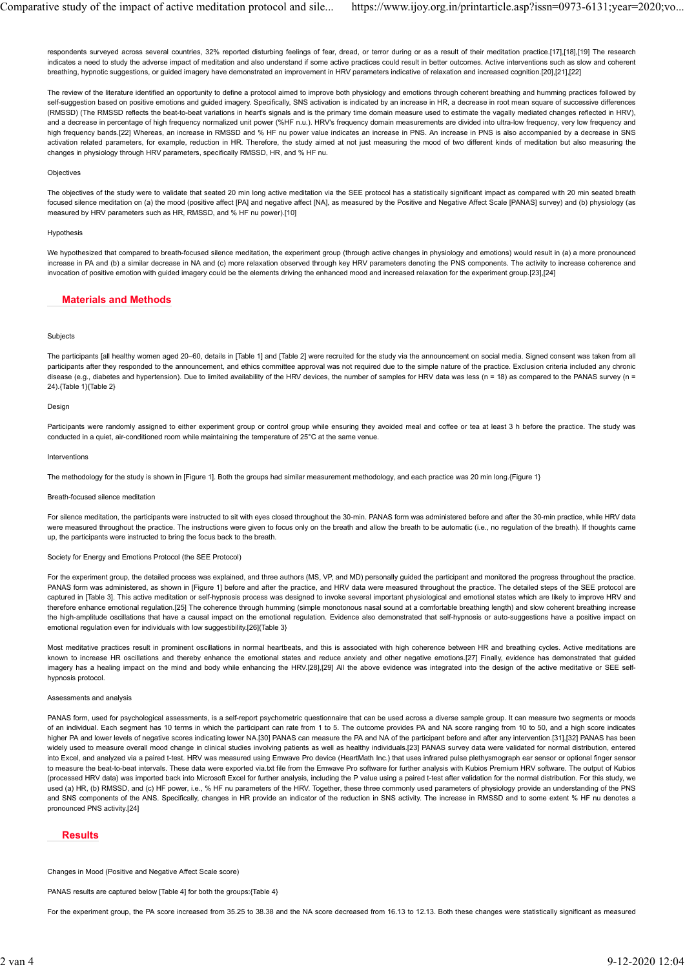respondents surveyed across several countries, 32% reported disturbing feelings of fear, dread, or terror during or as a result of their meditation practice.[17],[18],[19] The research indicates a need to study the adverse impact of meditation and also understand if some active practices could result in better outcomes. Active interventions such as slow and coherent breathing, hypnotic suggestions, or guided imagery have demonstrated an improvement in HRV parameters indicative of relaxation and increased cognition.[20],[21],[22] Comparative study of the impact of active meditation protocol and sile... https://www.ijoy.org.in/printarticle.asp?issn=0973-6131;year=2020;vo...<br>respondents surveyed across several countries, 32% reported disturbing feeli

The review of the literature identified an opportunity to define a protocol aimed to improve both physiology and emotions through coherent breathing and humming practices followed by self-suggestion based on positive emotions and guided imagery. Specifically, SNS activation is indicated by an increase in HR, a decrease in root mean square of successive differences (RMSSD) (The RMSSD reflects the beat-to-beat variations in heart's signals and is the primary time domain measure used to estimate the vagally mediated changes reflected in HRV), and a decrease in percentage of high frequency normalized unit power (%HF n.u.). HRV's frequency domain measurements are divided into ultra-low frequency, very low frequency and high frequency bands.[22] Whereas, an increase in RMSSD and % HF nu power value indicates an increase in PNS. An increase in PNS is also accompanied by a decrease in SNS activation related parameters, for example, reduction in HR. Therefore, the study aimed at not just measuring the mood of two different kinds of meditation but also measuring the changes in physiology through HRV parameters, specifically RMSSD, HR, and % HF nu.

#### **Objectives**

The objectives of the study were to validate that seated 20 min long active meditation via the SEE protocol has a statistically significant impact as compared with 20 min seated breath focused silence meditation on (a) the mood (positive affect [PA] and negative affect [NA], as measured by the Positive and Negative Affect Scale [PANAS] survey) and (b) physiology (as measured by HRV parameters such as HR, RMSSD, and % HF nu power).[10]

## Hypothesis

We hypothesized that compared to breath-focused silence meditation, the experiment group (through active changes in physiology and emotions) would result in (a) a more pronounced increase in PA and (b) a similar decrease in NA and (c) more relaxation observed through key HRV parameters denoting the PNS components. The activity to increase coherence and invocation of positive emotion with guided imagery could be the elements driving the enhanced mood and increased relaxation for the experiment group.[23],[24]

# Materials and Methods

### Subjects

The participants [all healthy women aged 20–60, details in [Table 1] and [Table 2] were recruited for the study via the announcement on social media. Signed consent was taken from all participants after they responded to the announcement, and ethics committee approval was not required due to the simple nature of the practice. Exclusion criteria included any chronic disease (e.g., diabetes and hypertension). Due to limited availability of the HRV devices, the number of samples for HRV data was less (n = 18) as compared to the PANAS survey (n = 24).{Table 1}{Table 2}

### Design

Participants were randomly assigned to either experiment group or control group while ensuring they avoided meal and coffee or tea at least 3 h before the practice. The study was conducted in a quiet, air-conditioned room while maintaining the temperature of 25°C at the same venue.

### Interventions

The methodology for the study is shown in [Figure 1]. Both the groups had similar measurement methodology, and each practice was 20 min long.{Figure 1}

### Breath-focused silence meditation

For silence meditation, the participants were instructed to sit with eyes closed throughout the 30-min. PANAS form was administered before and after the 30-min practice, while HRV data were measured throughout the practice. The instructions were given to focus only on the breath and allow the breath to be automatic (i.e., no regulation of the breath). If thoughts came up, the participants were instructed to bring the focus back to the breath.

### Society for Energy and Emotions Protocol (the SEE Protocol)

For the experiment group, the detailed process was explained, and three authors (MS, VP, and MD) personally guided the participant and monitored the progress throughout the practice. PANAS form was administered, as shown in [Figure 1] before and after the practice, and HRV data were measured throughout the practice. The detailed steps of the SEE protocol are captured in [Table 3]. This active meditation or self-hypnosis process was designed to invoke several important physiological and emotional states which are likely to improve HRV and therefore enhance emotional regulation.[25] The coherence through humming (simple monotonous nasal sound at a comfortable breathing length) and slow coherent breathing increase the high-amplitude oscillations that have a causal impact on the emotional regulation. Evidence also demonstrated that self-hypnosis or auto-suggestions have a positive impact on emotional regulation even for individuals with low suggestibility.[26]{Table 3}

Most meditative practices result in prominent oscillations in normal heartbeats, and this is associated with high coherence between HR and breathing cycles. Active meditations are known to increase HR oscillations and thereby enhance the emotional states and reduce anxiety and other negative emotions.[27] Finally, evidence has demonstrated that guided imagery has a healing impact on the mind and body while enhancing the HRV.[28],[29] All the above evidence was integrated into the design of the active meditative or SEE selfhypnosis protocol.

### Assessments and analysis

PANAS form, used for psychological assessments, is a self-report psychometric questionnaire that can be used across a diverse sample group. It can measure two segments or moods of an individual. Each segment has 10 terms in which the participant can rate from 1 to 5. The outcome provides PA and NA score ranging from 10 to 50, and a high score indicates higher PA and lower levels of negative scores indicating lower NA.[30] PANAS can measure the PA and NA of the participant before and after any intervention.[31],[32] PANAS has been widely used to measure overall mood change in clinical studies involving patients as well as healthy individuals.[23] PANAS survey data were validated for normal distribution, entered into Excel, and analyzed via a paired t-test. HRV was measured using Emwave Pro device (HeartMath Inc.) that uses infrared pulse plethysmograph ear sensor or optional finger sensor to measure the beat-to-beat intervals. These data were exported via.txt file from the Emwave Pro software for further analysis with Kubios Premium HRV software. The output of Kubios (processed HRV data) was imported back into Microsoft Excel for further analysis, including the P value using a paired t-test after validation for the normal distribution. For this study, we used (a) HR, (b) RMSSD, and (c) HF power, i.e., % HF nu parameters of the HRV. Together, these three commonly used parameters of physiology provide an understanding of the PNS and SNS components of the ANS. Specifically, changes in HR provide an indicator of the reduction in SNS activity. The increase in RMSSD and to some extent % HF nu denotes a pronounced PNS activity.[24]

# Results

Changes in Mood (Positive and Negative Affect Scale score)

PANAS results are captured below [Table 4] for both the groups: {Table 4}

For the experiment group, the PA score increased from 35.25 to 38.38 and the NA score decreased from 16.13 to 12.13. Both these changes were statistically significant as measured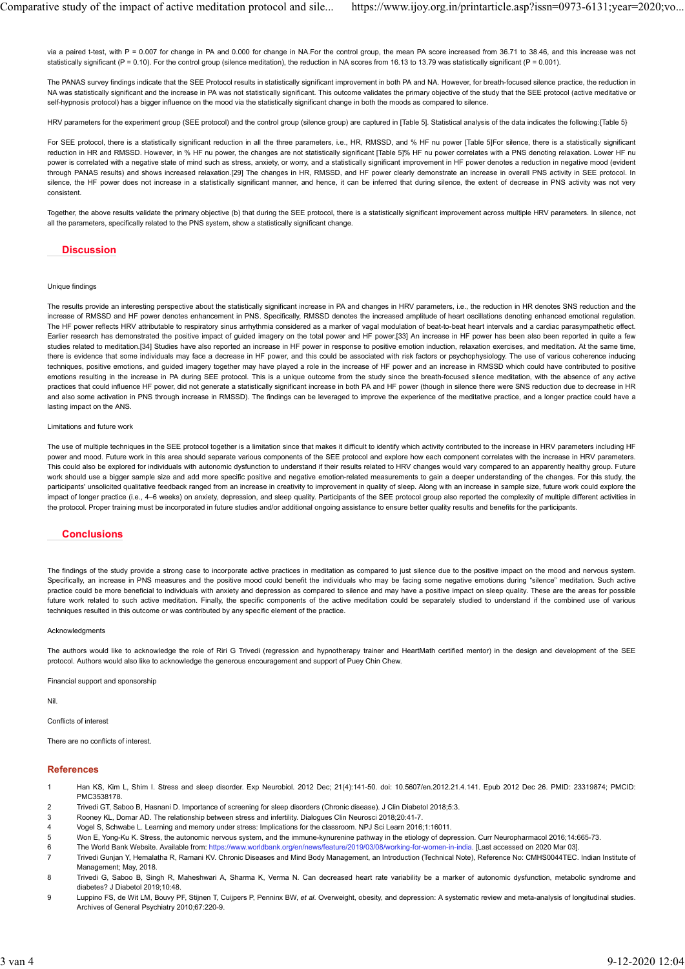via a paired t-test, with P = 0.007 for change in PA and 0.000 for change in NA.For the control group, the mean PA score increased from 36.71 to 38.46, and this increase was not statistically significant (P = 0.10). For the control group (silence meditation), the reduction in NA scores from 16.13 to 13.79 was statistically significant (P = 0.001). Comparative study of the impact of active meditation protocol and sile... https://www.ijoy.org.in/printarticle.asp?issn=0973-6131;year=2020;vo...<br>via a paired t-test, with P = 0.007 for change in PA and 0.000 for change i

The PANAS survey findings indicate that the SEE Protocol results in statistically significant improvement in both PA and NA. However, for breath-focused silence practice, the reduction in NA was statistically significant and the increase in PA was not statistically significant. This outcome validates the primary objective of the study that the SEE protocol (active meditative or self-hypnosis protocol) has a bigger influence on the mood via the statistically significant change in both the moods as compared to silence.

HRV parameters for the experiment group (SEE protocol) and the control group (silence group) are captured in [Table 5]. Statistical analysis of the data indicates the following:{Table 5}

For SEE protocol, there is a statistically significant reduction in all the three parameters, i.e., HR, RMSSD, and % HF nu power [Table 5]For silence, there is a statistically significant reduction in HR and RMSSD. However, in % HF nu power, the changes are not statistically significant [Table 5]% HF nu power correlates with a PNS denoting relaxation. Lower HF nu power is correlated with a negative state of mind such as stress, anxiety, or worry, and a statistically significant improvement in HF power denotes a reduction in negative mood (evident through PANAS results) and shows increased relaxation.[29] The changes in HR, RMSSD, and HF power clearly demonstrate an increase in overall PNS activity in SEE protocol. In silence, the HF power does not increase in a statistically significant manner, and hence, it can be inferred that during silence, the extent of decrease in PNS activity was not very consistent.

Together, the above results validate the primary objective (b) that during the SEE protocol, there is a statistically significant improvement across multiple HRV parameters. In silence, not all the parameters, specifically related to the PNS system, show a statistically significant change.

# **Discussion**

### Unique findings

The results provide an interesting perspective about the statistically significant increase in PA and changes in HRV parameters, i.e., the reduction in HR denotes SNS reduction and the increase of RMSSD and HF power denotes enhancement in PNS. Specifically, RMSSD denotes the increased amplitude of heart oscillations denoting enhanced emotional regulation. The HF power reflects HRV attributable to respiratory sinus arrhythmia considered as a marker of vagal modulation of beat-to-beat heart intervals and a cardiac parasympathetic effect. Earlier research has demonstrated the positive impact of guided imagery on the total power and HF power.[33] An increase in HF power has been also been reported in quite a few studies related to meditation.[34] Studies have also reported an increase in HF power in response to positive emotion induction, relaxation exercises, and meditation. At the same time, there is evidence that some individuals may face a decrease in HF power, and this could be associated with risk factors or psychophysiology. The use of various coherence inducing techniques, positive emotions, and guided imagery together may have played a role in the increase of HF power and an increase in RMSSD which could have contributed to positive emotions resulting in the increase in PA during SEE protocol. This is a unique outcome from the study since the breath-focused silence meditation, with the absence of any active practices that could influence HF power, did not generate a statistically significant increase in both PA and HF power (though in silence there were SNS reduction due to decrease in HR and also some activation in PNS through increase in RMSSD). The findings can be leveraged to improve the experience of the meditative practice, and a longer practice could have a lasting impact on the ANS.

#### Limitations and future work

The use of multiple techniques in the SEE protocol together is a limitation since that makes it difficult to identify which activity contributed to the increase in HRV parameters including HF power and mood. Future work in this area should separate various components of the SEE protocol and explore how each component correlates with the increase in HRV parameters. This could also be explored for individuals with autonomic dysfunction to understand if their results related to HRV changes would vary compared to an apparently healthy group. Future work should use a bigger sample size and add more specific positive and negative emotion-related measurements to gain a deeper understanding of the changes. For this study, the participants' unsolicited qualitative feedback ranged from an increase in creativity to improvement in quality of sleep. Along with an increase in sample size, future work could explore the impact of longer practice (i.e., 4-6 weeks) on anxiety, depression, and sleep quality. Participants of the SEE protocol group also reported the complexity of multiple different activities in the protocol. Proper training must be incorporated in future studies and/or additional ongoing assistance to ensure better quality results and benefits for the participants.

# **Conclusions**

The findings of the study provide a strong case to incorporate active practices in meditation as compared to just silence due to the positive impact on the mood and nervous system. Specifically, an increase in PNS measures and the positive mood could benefit the individuals who may be facing some negative emotions during "silence" meditation. Such active practice could be more beneficial to individuals with anxiety and depression as compared to silence and may have a positive impact on sleep quality. These are the areas for possible future work related to such active meditation. Finally, the specific components of the active meditation could be separately studied to understand if the combined use of various techniques resulted in this outcome or was contributed by any specific element of the practice.

#### Acknowledgments

The authors would like to acknowledge the role of Riri G Trivedi (regression and hypnotherapy trainer and HeartMath certified mentor) in the design and development of the SEE protocol. Authors would also like to acknowledge the generous encouragement and support of Puey Chin Chew.

Financial support and sponsorship

Nil.

Conflicts of interest

There are no conflicts of interest.

### References

- 1 Han KS, Kim L, Shim I. Stress and sleep disorder. Exp Neurobiol. 2012 Dec; 21(4):141-50. doi: 10.5607/en.2012.21.4.141. Epub 2012 Dec 26. PMID: 23319874; PMCID: PMC3538178.
- 2 Trivedi GT, Saboo B, Hasnani D. Importance of screening for sleep disorders (Chronic disease). J Clin Diabetol 2018;5:3.
- 3 Rooney KL, Domar AD. The relationship between stress and infertility. Dialogues Clin Neurosci 2018;20:41-7.
- 4 Vogel S, Schwabe L. Learning and memory under stress: Implications for the classroom. NPJ Sci Learn 2016;1:16011.
- 5 Won E, Yong-Ku K. Stress, the autonomic nervous system, and the immune-kynurenine pathway in the etiology of depression. Curr Neuropharmacol 2016;14:665-73.
- 6 The World Bank Website. Available from: https://www.worldbank.org/en/news/feature/2019/03/08/working-for-women-in-india. [Last accessed on 2020 Mar 03].
- 7 Trivedi Gunjan Y, Hemalatha R, Ramani KV. Chronic Diseases and Mind Body Management, an Introduction (Technical Note), Reference No: CMHS0044TEC. Indian Institute of Management; May, 2018.
- 8 Trivedi G, Saboo B, Singh R, Maheshwari A, Sharma K, Verma N. Can decreased heart rate variability be a marker of autonomic dysfunction, metabolic syndrome and diabetes? J Diabetol 2019;10:48.
- 9 Luppino FS, de Wit LM, Bouvy PF, Stijnen T, Cuijpers P, Penninx BW, et al. Overweight, obesity, and depression: A systematic review and meta-analysis of longitudinal studies. Archives of General Psychiatry 2010;67:220-9.